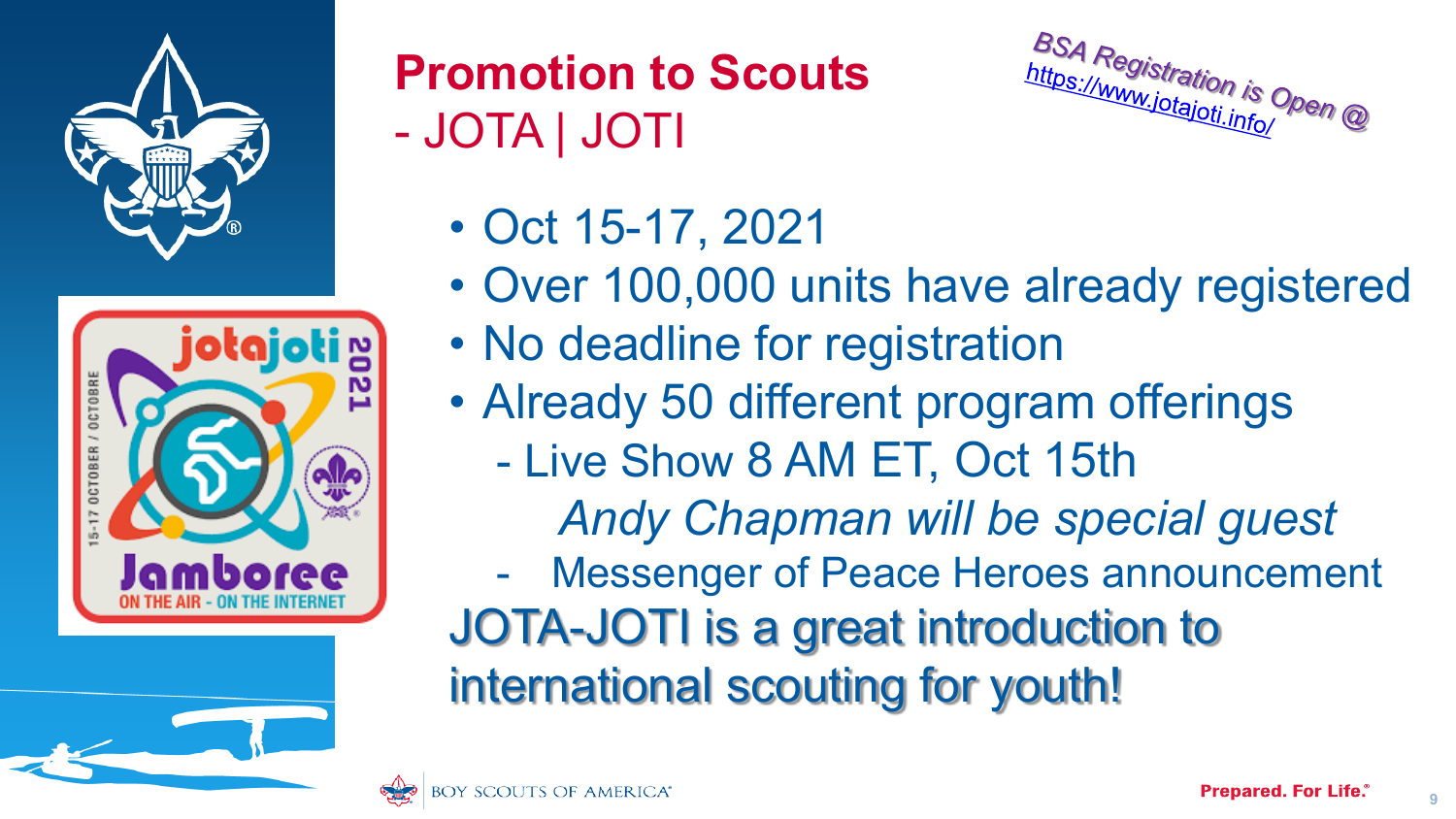



### **Promotion to Scouts** - JOTA | JOTI



- Oct 15-17, 2021
- Over 100,000 units have already registered
- No deadline for registration
- Already 50 different program offerings
	- Live Show 8 AM ET, Oct 15th

*Andy Chapman will be special guest*

- Messenger of Peace Heroes announcement JOTA-JOTI is a great introduction to international scouting for youth!



**9**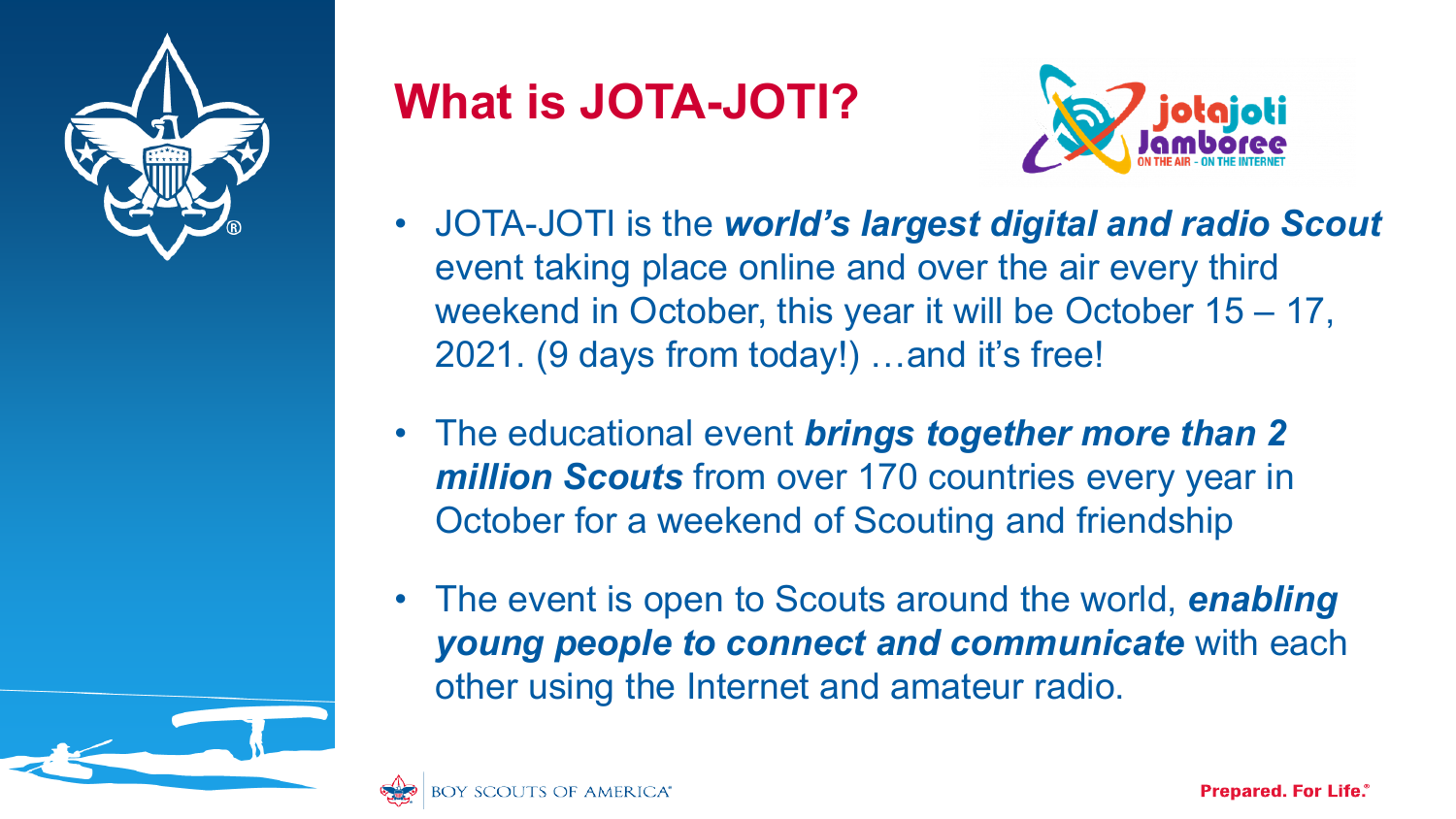

## **What is JOTA-JOTI?**



- JOTA-JOTI is the *world's largest digital and radio Scout*  event taking place online and over the air every third weekend in October, this year it will be October 15 – 17, 2021. (9 days from today!) …and it's free!
- The educational event *brings together more than 2 million Scouts* from over 170 countries every year in October for a weekend of Scouting and friendship
- The event is open to Scouts around the world, *enabling young people to connect and communicate* with each other using the Internet and amateur radio.

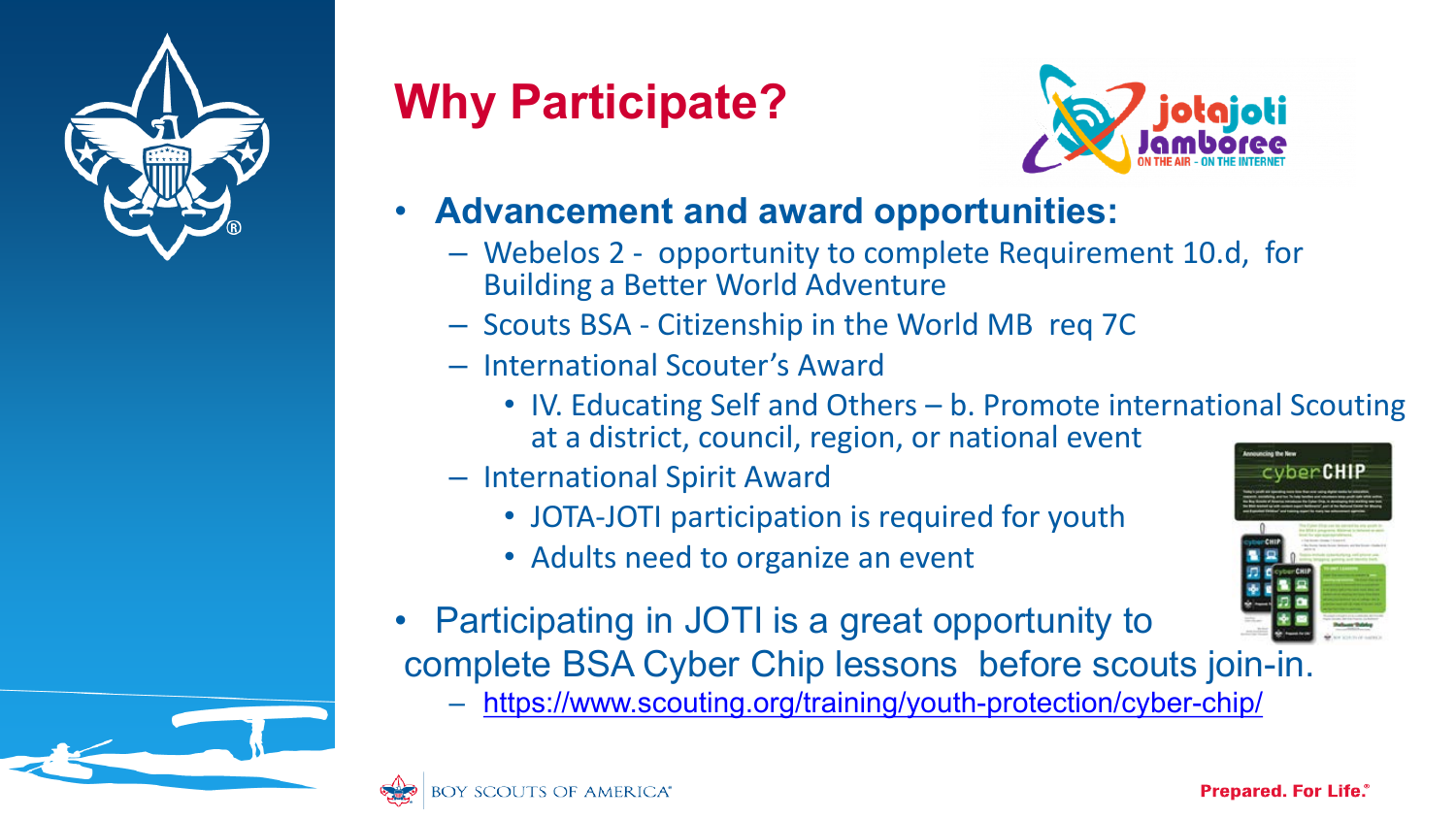

# **Why Participate?**



#### • **Advancement and award opportunities:**

- Webelos 2 opportunity to complete Requirement 10.d, for Building a Better World Adventure
- Scouts BSA Citizenship in the World MB req 7C
- International Scouter's Award
	- IV. Educating Self and Others b. Promote international Scouting at a district, council, region, or national event
- International Spirit Award
	- JOTA-JOTI participation is required for youth
	- Adults need to organize an event
- Participating in JOTI is a great opportunity to complete BSA Cyber Chip lessons before scouts join-in.
	- <https://www.scouting.org/training/youth-protection/cyber-chip/>



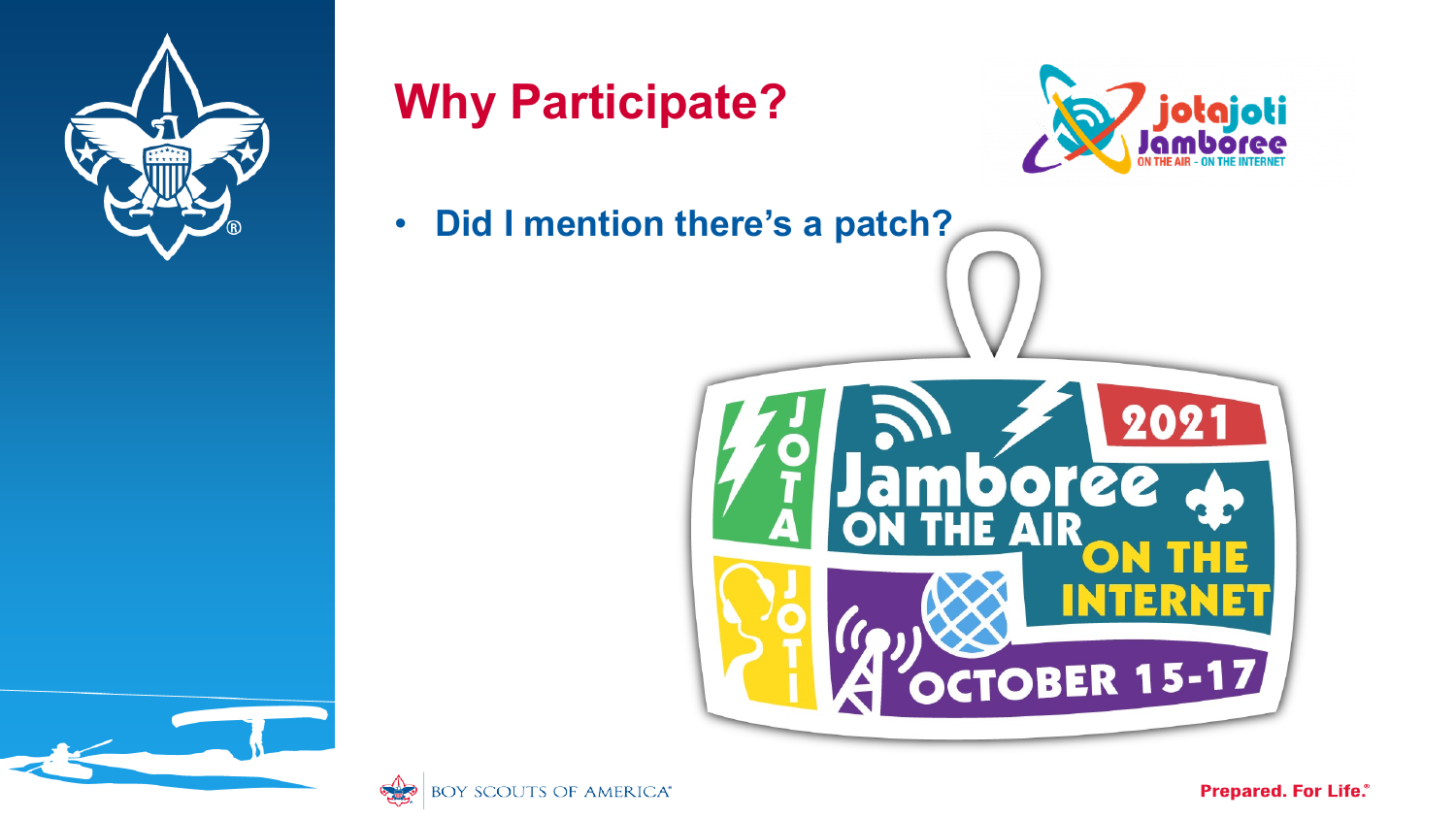

## **Why Participate?**



• **Did I mention there's a patch?**





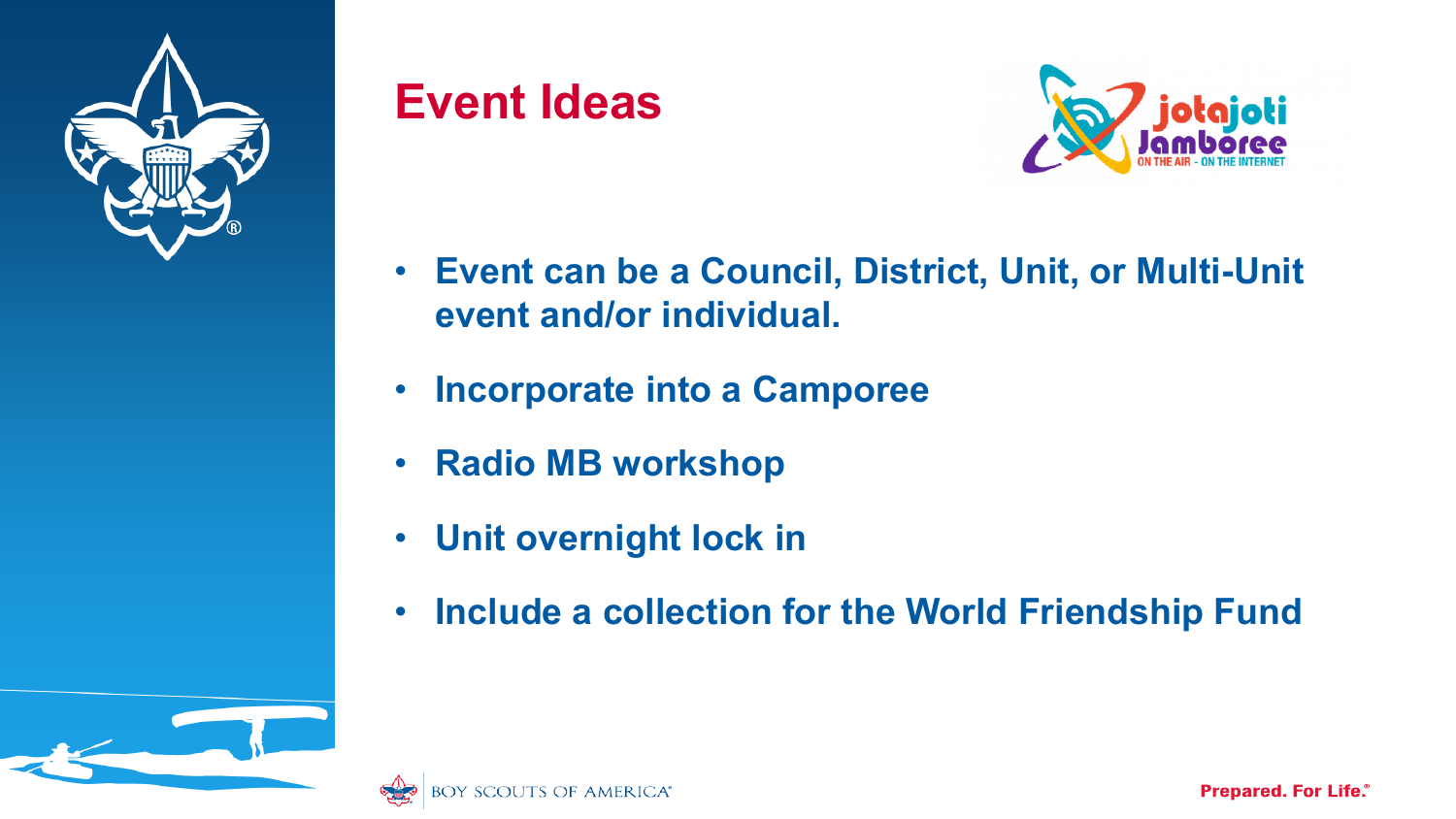

### **Event Ideas**



- **Event can be a Council, District, Unit, or Multi-Unit event and/or individual.**
- **Incorporate into a Camporee**
- **Radio MB workshop**
- **Unit overnight lock in**
- **Include a collection for the World Friendship Fund**

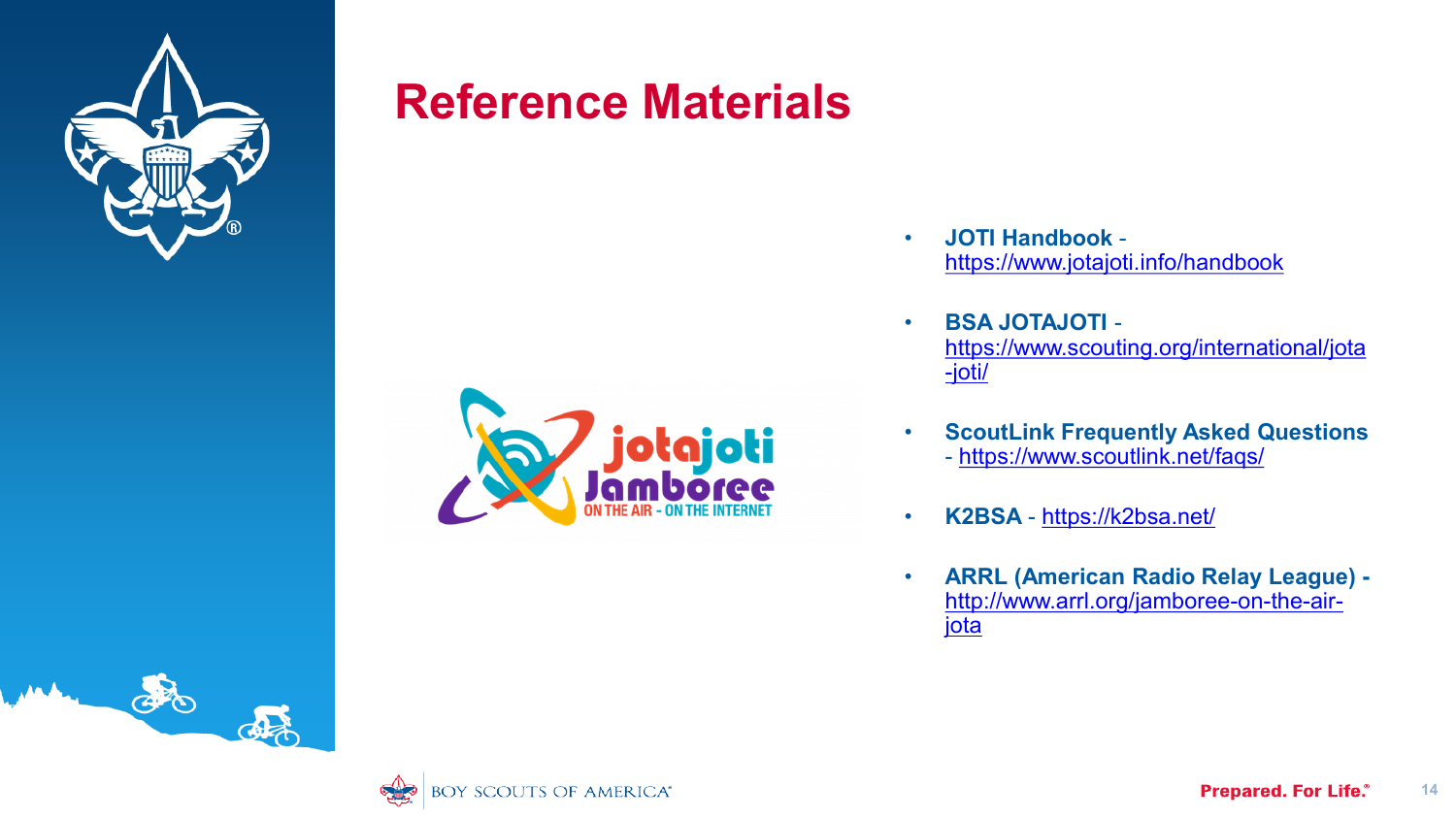

### **Reference Materials**



- **JOTI Handbook**  <https://www.jotajoti.info/handbook>
- **BSA JOTAJOTI**  [https://www.scouting.org/international/jota](https://www.scouting.org/international/jota-joti/) -joti/
- **ScoutLink Frequently Asked Questions**  - <https://www.scoutlink.net/faqs/>
- **K2BSA**  <https://k2bsa.net/>
- **ARRL (American Radio Relay League)**  [http://www.arrl.org/jamboree-on-the-air](http://www.arrl.org/jamboree-on-the-air-jota)jota



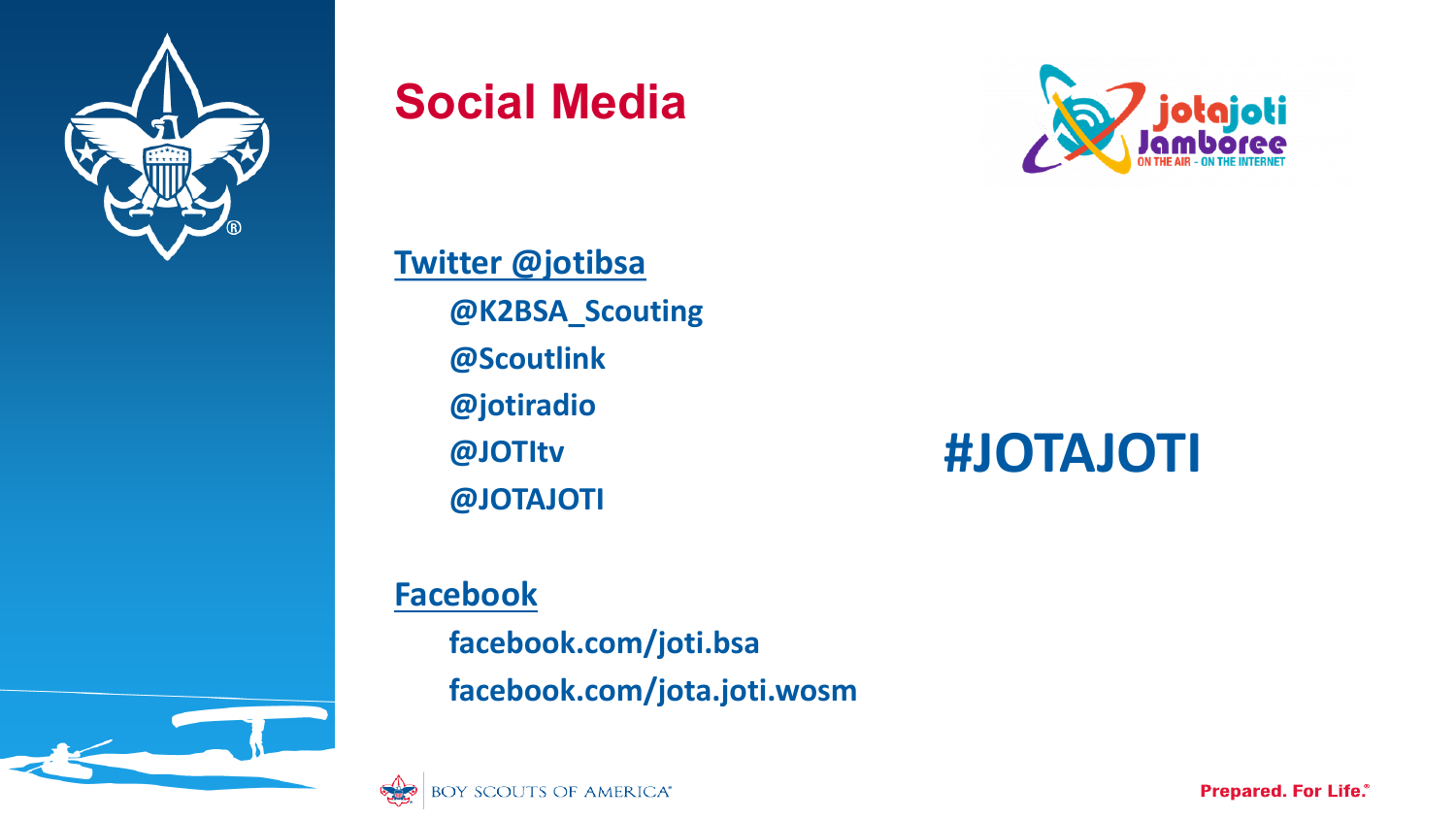

### **Social Media**



**Twitter @jotibsa @K2BSA\_Scouting @Scoutlink @jotiradio @JOTItv @JOTAJOTI**

## **#JOTAJOTI**

#### **Facebook**

**facebook.com/joti.bsa facebook.com/jota.joti.wosm**



**Prepared. For Life.**